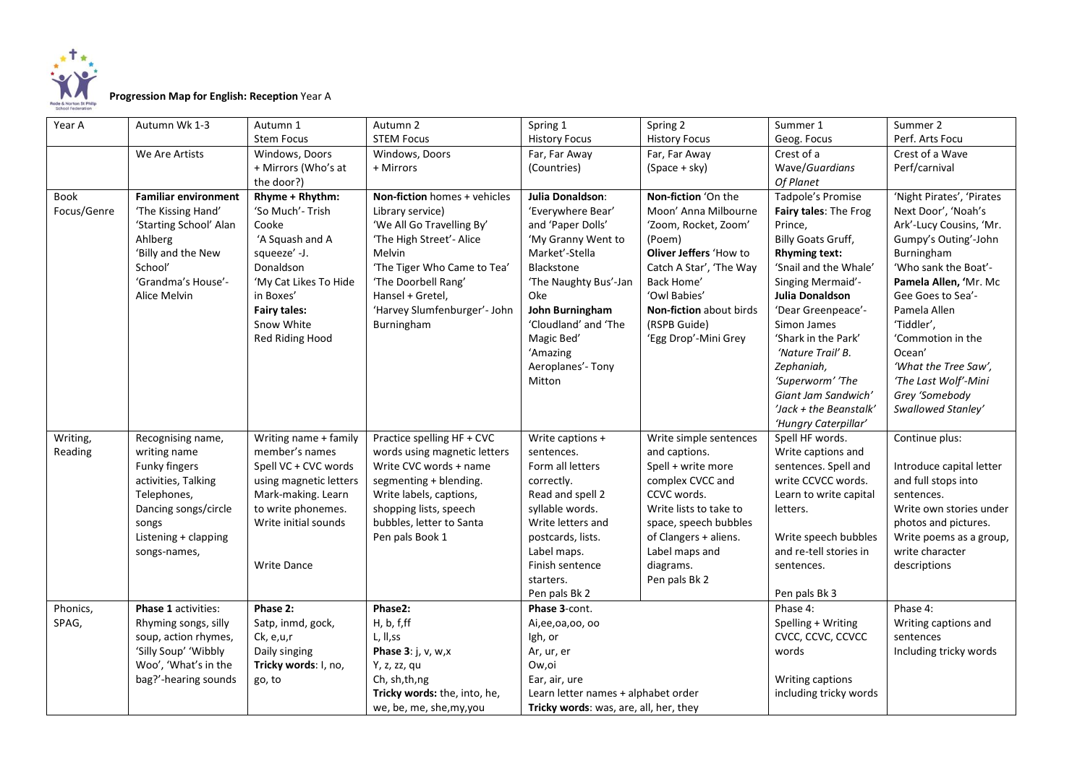

## **Progression Map for English: Reception** Year A

| Year A      | Autumn Wk 1-3               | Autumn 1               | Autumn 2                     | Spring 1                               | Spring 2                | Summer 1               | Summer 2                  |
|-------------|-----------------------------|------------------------|------------------------------|----------------------------------------|-------------------------|------------------------|---------------------------|
|             |                             | <b>Stem Focus</b>      | <b>STEM Focus</b>            | <b>History Focus</b>                   | <b>History Focus</b>    | Geog. Focus            | Perf. Arts Focu           |
|             | We Are Artists              | Windows, Doors         | Windows, Doors               | Far, Far Away                          | Far, Far Away           | Crest of a             | Crest of a Wave           |
|             |                             | + Mirrors (Who's at    | + Mirrors                    | (Countries)                            | $(Space + sky)$         | Wave/Guardians         | Perf/carnival             |
|             |                             | the door?)             |                              |                                        |                         | Of Planet              |                           |
| Book        | <b>Familiar environment</b> | Rhyme + Rhythm:        | Non-fiction homes + vehicles | Julia Donaldson:                       | Non-fiction 'On the     | Tadpole's Promise      | 'Night Pirates', 'Pirates |
| Focus/Genre | 'The Kissing Hand'          | 'So Much'- Trish       | Library service)             | 'Everywhere Bear'                      | Moon' Anna Milbourne    | Fairy tales: The Frog  | Next Door', 'Noah's       |
|             | 'Starting School' Alan      | Cooke                  | 'We All Go Travelling By'    | and 'Paper Dolls'                      | 'Zoom, Rocket, Zoom'    | Prince.                | Ark'-Lucy Cousins, 'Mr.   |
|             | Ahlberg                     | 'A Squash and A        | 'The High Street'- Alice     | 'My Granny Went to                     | (Poem)                  | Billy Goats Gruff,     | Gumpy's Outing'-John      |
|             | 'Billy and the New          | squeeze' -J.           | <b>Melvin</b>                | Market'-Stella                         | Oliver Jeffers 'How to  | <b>Rhyming text:</b>   | Burningham                |
|             | School'                     | Donaldson              | 'The Tiger Who Came to Tea'  | <b>Blackstone</b>                      | Catch A Star', 'The Way | 'Snail and the Whale'  | 'Who sank the Boat'-      |
|             | 'Grandma's House'-          | 'My Cat Likes To Hide  | 'The Doorbell Rang'          | 'The Naughty Bus'-Jan                  | Back Home'              | Singing Mermaid'-      | Pamela Allen, 'Mr. Mc     |
|             | Alice Melvin                | in Boxes'              | Hansel + Gretel,             | Oke                                    | 'Owl Babies'            | <b>Julia Donaldson</b> | Gee Goes to Sea'-         |
|             |                             | <b>Fairy tales:</b>    | 'Harvey Slumfenburger'- John | John Burningham                        | Non-fiction about birds | 'Dear Greenpeace'-     | Pamela Allen              |
|             |                             | Snow White             | Burningham                   | 'Cloudland' and 'The                   | (RSPB Guide)            | Simon James            | 'Tiddler',                |
|             |                             | Red Riding Hood        |                              | Magic Bed'                             | 'Egg Drop'-Mini Grey    | 'Shark in the Park'    | 'Commotion in the         |
|             |                             |                        |                              | 'Amazing                               |                         | 'Nature Trail' B.      | Ocean'                    |
|             |                             |                        |                              | Aeroplanes'-Tony                       |                         | Zephaniah,             | 'What the Tree Saw',      |
|             |                             |                        |                              | Mitton                                 |                         | 'Superworm' 'The       | 'The Last Wolf'-Mini      |
|             |                             |                        |                              |                                        |                         | Giant Jam Sandwich'    | Grey 'Somebody            |
|             |                             |                        |                              |                                        |                         | 'Jack + the Beanstalk' | Swallowed Stanley'        |
|             |                             |                        |                              |                                        |                         | 'Hungry Caterpillar'   |                           |
| Writing,    | Recognising name,           | Writing name + family  | Practice spelling HF + CVC   | Write captions +                       | Write simple sentences  | Spell HF words.        | Continue plus:            |
| Reading     | writing name                | member's names         | words using magnetic letters | sentences.                             | and captions.           | Write captions and     |                           |
|             | Funky fingers               | Spell VC + CVC words   | Write CVC words + name       | Form all letters                       | Spell + write more      | sentences. Spell and   | Introduce capital letter  |
|             | activities, Talking         | using magnetic letters | segmenting + blending.       | correctly.                             | complex CVCC and        | write CCVCC words.     | and full stops into       |
|             | Telephones,                 | Mark-making. Learn     | Write labels, captions,      | Read and spell 2                       | CCVC words.             | Learn to write capital | sentences.                |
|             | Dancing songs/circle        | to write phonemes.     | shopping lists, speech       | syllable words.                        | Write lists to take to  | letters.               | Write own stories under   |
|             | songs                       | Write initial sounds   | bubbles, letter to Santa     | Write letters and                      | space, speech bubbles   |                        | photos and pictures.      |
|             | Listening + clapping        |                        | Pen pals Book 1              | postcards, lists.                      | of Clangers + aliens.   | Write speech bubbles   | Write poems as a group,   |
|             | songs-names,                |                        |                              | Label maps.                            | Label maps and          | and re-tell stories in | write character           |
|             |                             | <b>Write Dance</b>     |                              | Finish sentence                        | diagrams.               | sentences.             | descriptions              |
|             |                             |                        |                              | starters.                              | Pen pals Bk 2           |                        |                           |
|             |                             |                        |                              | Pen pals Bk 2                          |                         | Pen pals Bk 3          |                           |
| Phonics,    | <b>Phase 1 activities:</b>  | Phase 2:               | Phase2:                      | Phase 3-cont.                          |                         | Phase 4:               | Phase 4:                  |
| SPAG,       | Rhyming songs, silly        | Satp, inmd, gock,      | H, b, f, ff                  | Ai,ee,oa,oo, oo                        |                         | Spelling + Writing     | Writing captions and      |
|             | soup, action rhymes,        | Ck, e,u,r              | L, II,ss                     | Igh, or                                |                         | CVCC, CCVC, CCVCC      | sentences                 |
|             | 'Silly Soup' 'Wibbly        | Daily singing          | Phase $3: j, v, w, x$        | Ar, ur, er                             |                         | words                  | Including tricky words    |
|             | Woo', 'What's in the        | Tricky words: I, no,   | Y, z, zz, qu                 | Ow,oi                                  |                         |                        |                           |
|             | bag?'-hearing sounds        | go, to                 | Ch, sh, th, ng               | Ear, air, ure                          |                         | Writing captions       |                           |
|             |                             |                        | Tricky words: the, into, he, | Learn letter names + alphabet order    |                         | including tricky words |                           |
|             |                             |                        | we, be, me, she, my, you     | Tricky words: was, are, all, her, they |                         |                        |                           |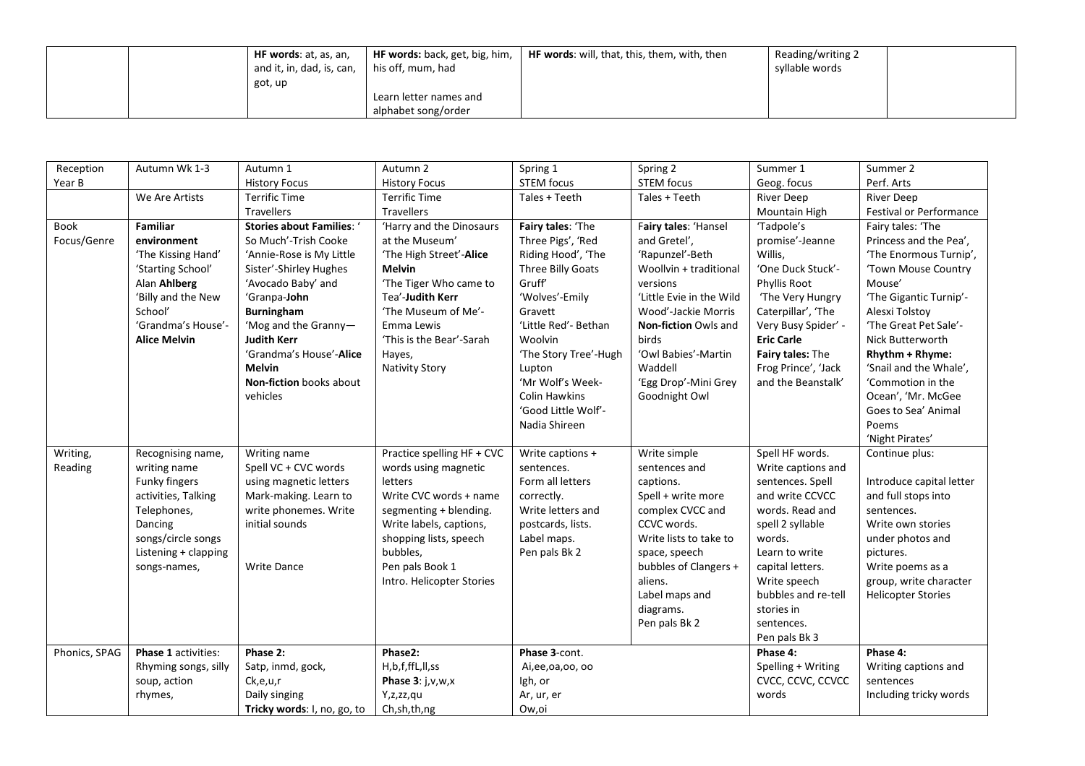|  | HF words: at, as, an,<br>and it, in, dad, is, can,<br>got, up | HF words: back, get, big, him,<br>his off, mum, had | HF words: will, that, this, them, with, then | Reading/writing 2<br>syllable words |  |
|--|---------------------------------------------------------------|-----------------------------------------------------|----------------------------------------------|-------------------------------------|--|
|  |                                                               | Learn letter names and<br>alphabet song/order       |                                              |                                     |  |

| Reception     | Autumn Wk 1-3              | Autumn 1                         | Autumn 2                   | Spring 1              | Spring 2                    | Summer 1            | Summer 2                  |
|---------------|----------------------------|----------------------------------|----------------------------|-----------------------|-----------------------------|---------------------|---------------------------|
| Year B        |                            | <b>History Focus</b>             | <b>History Focus</b>       | <b>STEM focus</b>     | <b>STEM focus</b>           | Geog. focus         | Perf. Arts                |
|               | We Are Artists             | <b>Terrific Time</b>             | <b>Terrific Time</b>       | Tales + Teeth         | Tales + Teeth               | <b>River Deep</b>   | <b>River Deep</b>         |
|               |                            | <b>Travellers</b>                | <b>Travellers</b>          |                       |                             | Mountain High       | Festival or Performance   |
| <b>Book</b>   | <b>Familiar</b>            | <b>Stories about Families: '</b> | 'Harry and the Dinosaurs   | Fairy tales: 'The     | Fairy tales: 'Hansel        | 'Tadpole's          | Fairy tales: 'The         |
| Focus/Genre   | environment                | So Much'-Trish Cooke             | at the Museum'             | Three Pigs', 'Red     | and Gretel',                | promise'-Jeanne     | Princess and the Pea',    |
|               | 'The Kissing Hand'         | 'Annie-Rose is My Little         | 'The High Street'-Alice    | Riding Hood', 'The    | 'Rapunzel'-Beth             | Willis,             | 'The Enormous Turnip',    |
|               | 'Starting School'          | Sister'-Shirley Hughes           | <b>Melvin</b>              | Three Billy Goats     | Woollvin + traditional      | 'One Duck Stuck'-   | 'Town Mouse Country       |
|               | Alan Ahlberg               | 'Avocado Baby' and               | 'The Tiger Who came to     | Gruff'                | versions                    | Phyllis Root        | Mouse'                    |
|               | 'Billy and the New         | 'Granpa-John                     | Tea'-Judith Kerr           | 'Wolves'-Emily        | 'Little Evie in the Wild    | 'The Very Hungry    | 'The Gigantic Turnip'-    |
|               | School'                    | <b>Burningham</b>                | 'The Museum of Me'-        | Gravett               | Wood'-Jackie Morris         | Caterpillar', 'The  | Alesxi Tolstoy            |
|               | 'Grandma's House'-         | 'Mog and the Granny-             | Emma Lewis                 | 'Little Red'- Bethan  | <b>Non-fiction Owls and</b> | Very Busy Spider' - | 'The Great Pet Sale'-     |
|               | <b>Alice Melvin</b>        | <b>Judith Kerr</b>               | 'This is the Bear'-Sarah   | Woolvin               | birds                       | <b>Eric Carle</b>   | Nick Butterworth          |
|               |                            | 'Grandma's House'-Alice          | Hayes,                     | 'The Story Tree'-Hugh | 'Owl Babies'-Martin         | Fairy tales: The    | Rhythm + Rhyme:           |
|               |                            | <b>Melvin</b>                    | <b>Nativity Story</b>      | Lupton                | Waddell                     | Frog Prince', 'Jack | 'Snail and the Whale',    |
|               |                            | Non-fiction books about          |                            | 'Mr Wolf's Week-      | 'Egg Drop'-Mini Grey        | and the Beanstalk'  | 'Commotion in the         |
|               |                            | vehicles                         |                            | <b>Colin Hawkins</b>  | Goodnight Owl               |                     | Ocean', 'Mr. McGee        |
|               |                            |                                  |                            | 'Good Little Wolf'-   |                             |                     | Goes to Sea' Animal       |
|               |                            |                                  |                            | Nadia Shireen         |                             |                     | Poems                     |
|               |                            |                                  |                            |                       |                             |                     | 'Night Pirates'           |
| Writing,      | Recognising name,          | Writing name                     | Practice spelling HF + CVC | Write captions +      | Write simple                | Spell HF words.     | Continue plus:            |
| Reading       | writing name               | Spell VC + CVC words             | words using magnetic       | sentences.            | sentences and               | Write captions and  |                           |
|               | Funky fingers              | using magnetic letters           | letters                    | Form all letters      | captions.                   | sentences. Spell    | Introduce capital letter  |
|               | activities, Talking        | Mark-making. Learn to            | Write CVC words + name     | correctly.            | Spell + write more          | and write CCVCC     | and full stops into       |
|               | Telephones,                | write phonemes. Write            | segmenting + blending.     | Write letters and     | complex CVCC and            | words. Read and     | sentences.                |
|               | Dancing                    | initial sounds                   | Write labels, captions,    | postcards, lists.     | CCVC words.                 | spell 2 syllable    | Write own stories         |
|               | songs/circle songs         |                                  | shopping lists, speech     | Label maps.           | Write lists to take to      | words.              | under photos and          |
|               | Listening + clapping       |                                  | bubbles,                   | Pen pals Bk 2         | space, speech               | Learn to write      | pictures.                 |
|               | songs-names,               | <b>Write Dance</b>               | Pen pals Book 1            |                       | bubbles of Clangers +       | capital letters.    | Write poems as a          |
|               |                            |                                  | Intro. Helicopter Stories  |                       | aliens.                     | Write speech        | group, write character    |
|               |                            |                                  |                            |                       | Label maps and              | bubbles and re-tell | <b>Helicopter Stories</b> |
|               |                            |                                  |                            |                       | diagrams.                   | stories in          |                           |
|               |                            |                                  |                            |                       | Pen pals Bk 2               | sentences.          |                           |
|               |                            |                                  |                            |                       |                             | Pen pals Bk 3       |                           |
| Phonics, SPAG | <b>Phase 1 activities:</b> | Phase 2:                         | Phase2:                    | Phase 3-cont.         |                             | Phase 4:            | Phase 4:                  |
|               | Rhyming songs, silly       | Satp, inmd, gock,                | H,b,f,ffL,ll,ss            | Ai,ee,oa,oo, oo       |                             | Spelling + Writing  | Writing captions and      |
|               | soup, action               | Ck,e,u,r                         | Phase $3: j,v,w,x$         | Igh, or               |                             | CVCC, CCVC, CCVCC   | sentences                 |
|               | rhymes,                    | Daily singing                    | Y,z,zz,qu                  | Ar, ur, er            |                             | words               | Including tricky words    |
|               |                            | Tricky words: I, no, go, to      | Ch,sh,th,ng                | Ow,oi                 |                             |                     |                           |